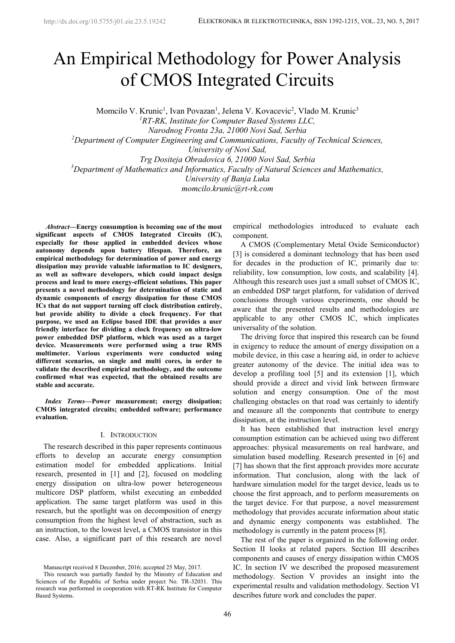# An Empirical Methodology for Power Analysis of CMOS Integrated Circuits

Momcilo V. Krunic<sup>1</sup>, Ivan Povazan<sup>1</sup>, Jelena V. Kovacevic<sup>2</sup>, Vlado M. Krunic<sup>3</sup>

*<sup>1</sup>RT-RK, Institute for Computer Based Systems LLC,*

*Narodnog Fronta 23a, 21000 Novi Sad, Serbia*

*<sup>2</sup>Department of Computer Engineering and Communications, Faculty of Technical Sciences,*

*University of Novi Sad,*

*Trg Dositeja Obradovica 6, 21000 Novi Sad, Serbia*

*<sup>3</sup>Department of Mathematics and Informatics, Faculty of Natural Sciences and Mathematics,*

*University of Banja Luka*

*momcilo.krunic@rt-rk.com*

*<sup>1</sup>Abstract***—Energy consumption is becoming one of the most significant aspects of CMOS Integrated Circuits (IC), especially for those applied in embedded devices whose autonomy depends upon battery lifespan. Therefore, an empirical methodology for determination of power and energy dissipation may provide valuable information to IC designers, as well as software developers, which could impact design process and lead to more energy-efficient solutions. This paper presents a novel methodology for determination of static and dynamic components of energy dissipation for those CMOS ICs that do not support turning off clock distribution entirely, but provide ability to divide a clock frequency. For that purpose, we used an Eclipse based IDE that provides a user friendly interface for dividing a clock frequency on ultra-low power embedded DSP platform, which was used as a target device. Measurements were performed using a true RMS multimeter. Various experiments were conducted using different scenarios, on single and multi cores, in order to validate the described empirical methodology, and the outcome confirmed what was expected, that the obtained results are stable and accurate.**

*Index Terms***—Power measurement; energy dissipation; CMOS integrated circuits; embedded software; performance evaluation.**

## I. INTRODUCTION

The research described in this paper represents continuous efforts to develop an accurate energy consumption estimation model for embedded applications. Initial research, presented in [1] and [2], focused on modeling energy dissipation on ultra-low power heterogeneous multicore DSP platform, whilst executing an embedded application. The same target platform was used in this research, but the spotlight was on decomposition of energy consumption from the highest level of abstraction, such as an instruction, to the lowest level, a CMOS transistor in this case. Also, a significant part of this research are novel

Manuscript received 8 December, 2016; accepted 25 May, 2017.

This research was partially funded by the Ministry of Education and Sciences of the Republic of Serbia under project No. TR-32031. This research was performed in cooperation with RT-RK Institute for Computer Based Systems.

empirical methodologies introduced to evaluate each component.

A CMOS (Complementary Metal Oxide Semiconductor) [3] is considered a dominant technology that has been used for decades in the production of IC, primarily due to: reliability, low consumption, low costs, and scalability [4]. an embedded DSP target platform, for validation of derived conclusions through various experiments, one should be aware that the presented results and methodologies are applicable to any other CMOS IC, which implicates universality of the solution.

The driving force that inspired this research can be found in exigency to reduce the amount of energy dissipation on a mobile device, in this case a hearing aid, in order to achieve greater autonomy of the device. The initial idea was to develop a profiling tool [5] and its extension [1], which should provide a direct and vivid link between firmware solution and energy consumption. One of the most challenging obstacles on that road was certainly to identify and measure all the components that contribute to energy dissipation, at the instruction level.

It has been established that instruction level energy consumption estimation can be achieved using two different approaches: physical measurements on real hardware, and simulation based modelling. Research presented in [6] and [7] has shown that the first approach provides more accurate information. That conclusion, along with the lack of hardware simulation model for the target device, leads us to choose the first approach, and to perform measurements on the target device. For that purpose, a novel measurement methodology that provides accurate information about static and dynamic energy components was established. The methodology is currently in the patent process [8].

The rest of the paper is organized in the following order. Section II looks at related papers. Section III describes components and causes of energy dissipation within CMOS IC. In section IV we described the proposed measurement methodology. Section V provides an insight into the experimental results and validation methodology. Section VI describes future work and concludes the paper.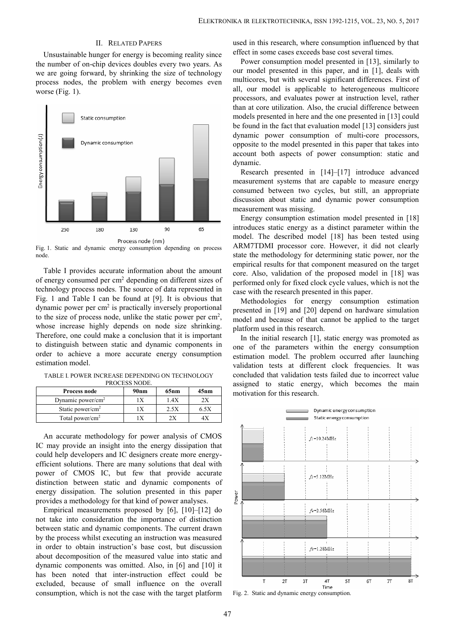## II. RELATED PAPERS

Unsustainable hunger for energy is becoming reality since the number of on-chip devices doubles every two years. As we are going forward, by shrinking the size of technology process nodes, the problem with energy becomes even worse (Fig. 1).



Fig. 1. Static and dynamic energy consumption depending on process node.

Table I provides accurate information about the amount of energy consumed per cm<sup>2</sup> depending on different sizes of technology process nodes. The source of data represented in Fig. 1 and Table I can be found at [9]. It is obvious that dynamic power per cm<sup>2</sup> is practically inversely proportional  $\mathbf{r}$ to the size of process node, unlike the static power per  $cm<sup>2</sup>$ , whose increase highly depends on node size shrinking. Therefore, one could make a conclusion that it is important to distinguish between static and dynamic components in order to achieve a more accurate energy consumption estimation model.

TABLE I. POWER INCREASE DEPENDING ON TECHNOLOGY PROCESS NODE.

| Process node                  | 90 <sub>nm</sub> | 65nm | 45nm | motiv |
|-------------------------------|------------------|------|------|-------|
| Dynamic power/cm <sup>2</sup> |                  | 1.4X |      |       |
| Static power/cm <sup>2</sup>  |                  | 2.5X | 6.5X |       |
| Total power/cm <sup>2</sup>   |                  |      |      |       |

An accurate methodology for power analysis of CMOS IC may provide an insight into the energy dissipation that could help developers and IC designers create more energy efficient solutions. There are many solutions that deal with power of CMOS IC, but few that provide accurate distinction between static and dynamic components of energy dissipation. The solution presented in this paper<br>provides a methodology for that kind of power analyses. provides a methodology for that kind of power analyses.

Empirical measurements proposed by [6], [10]–[12] do not take into consideration the importance of distinction between static and dynamic components. The current drawn by the process whilst executing an instruction was measured in order to obtain instruction's base cost, but discussion about decomposition of the measured value into static and dynamic components was omitted. Also, in [6] and [10] it has been noted that inter-instruction effect could be excluded, because of small influence on the overall consumption, which is not the case with the target platform

used in this research, where consumption influenced by that effect in some cases exceeds base cost several times.

Power consumption model presented in [13], similarly to our model presented in this paper, and in [1], deals with multicores, but with several significant differences. First of all, our model is applicable to heterogeneous multicore processors, and evaluates power at instruction level, rather than at core utilization. Also, the crucial difference between models presented in here and the one presented in [13] could be found in the fact that evaluation model [13] considers just dynamic power consumption of multi-core processors, opposite to the model presented in this paper that takes into account both aspects of power consumption: static and dynamic.

Research presented in [14]–[17] introduce advanced measurement systems that are capable to measure energy consumed between two cycles, but still, an appropriate discussion about static and dynamic power consumption measurement was missing.

Energy consumption estimation model presented in [18] introduces static energy as a distinct parameter within the model. The described model [18] has been tested using ARM7TDMI processor core. However, it did not clearly state the methodology for determining static power, nor the empirical results for that component measured on the target core. Also, validation of the proposed model in [18] was performed only for fixed clock cycle values, which is not the case with the research presented in this paper.

, model and because of that cannot be applied to the target Methodologies for energy consumption estimation presented in [19] and [20] depend on hardware simulation platform used in this research.

In the initial research [1], static energy was promoted as one of the parameters within the energy consumption estimation model. The problem occurred after launching validation tests at different clock frequencies. It was concluded that validation tests failed due to incorrect value assigned to static energy, which becomes the main motivation for this research.



Fig. 2. Static and dynamic energy consumption.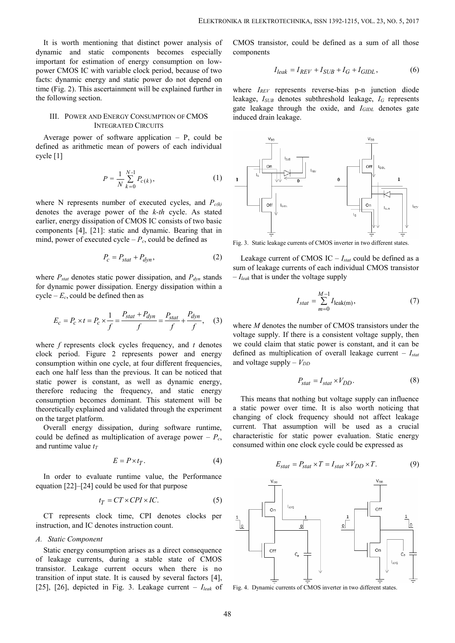It is worth mentioning that distinct power analysis of dynamic and static components becomes especially important for estimation of energy consumption on low power CMOS IC with variable clock period, because of two facts: dynamic energy and static power do not depend on time (Fig. 2). This ascertainment will be explained further in the following section.

## III. POWER AND ENERGY CONSUMPTION OF CMOS INTEGRATED CIRCUITS

Average power of software application  $- P$ , could be defined as arithmetic mean of powers of each individual cycle [1]

$$
P = \frac{1}{N} \sum_{k=0}^{N-1} P_{c(k)},
$$
 (1)  $\underline{1}$ 

where N represents number of executed cycles, and *Pc(k)* denotes the average power of the *k-th* cycle. As stated earlier, energy dissipation of CMOS IC consists of two basic components [4], [21]: static and dynamic. Bearing that in mind, power of executed cycle  $-P_c$ , could be defined as

$$
P_c = P_{stat} + P_{dyn},\tag{2}
$$

where *Pstat* denotes static power dissipation, and *Pdyn* stands for dynamic power dissipation. Energy dissipation within a cycle –  $E_c$ , could be defined then as

$$
E_c = P_c \times t = P_c \times \frac{1}{f} = \frac{P_{stat} + P_{dyn}}{f} = \frac{P_{stat}}{f} + \frac{P_{dyn}}{f}, \quad (3)
$$
 where *M* der

where *f* represents clock cycles frequency, and *t* denotes clock period. Figure 2 represents power and energy consumption within one cycle, at four different frequencies, each one half less than the previous. It can be noticed that static power is constant, as well as dynamic energy, therefore reducing the frequency, and static energy consumption becomes dominant. This statement will be theoretically explained and validated through the experiment on the target platform. power dissipation, and  $P_{dyn}$  stands  $-I_{lead}$  that is under the voltage supply<br>power dissipation within a<br>d then as<br> $I_{stat} = \frac{P_{stat} + P_{dyn}}{f} = \frac{P_{stat}}{f} + \frac{P_{dyn}}{f}$ , (3)<br>where *M* denotes the number of CMOS transists<br>c cycles f

Overall energy dissipation, during software runtime, could be defined as multiplication of average power –  $P_c$ , and runtime value *t<sup>T</sup>*

$$
E = P \times t_T. \tag{4}
$$

In order to evaluate runtime value, the Performance equation [22]–[24] could be used for that purpose

$$
t_T = CT \times CPI \times IC.
$$
 (5)

CT represents clock time, CPI denotes clocks per instruction, and IC denotes instruction count.

#### *A. Static Component*

Static energy consumption arises as a direct consequence of leakage currents, during a stable state of CMOS transistor. Leakage current occurs when there is no transition of input state. It is caused by several factors [4], [25], [26], depicted in Fig. 3. Leakage current – *Ileak* of

CMOS transistor, could be defined as a sum of all those components

$$
I_{leak} = I_{REV} + I_{SUB} + I_G + I_{GIDL},
$$
 (6)

*leak Algonomics GIPC 6 in 1392-1215, VOL. 23, NO. 5, 2017*<br> *I*<sub>leak</sub>  $= I_{REV} + I_{SUB} + I_G + I_{GIDL}$ , (6)<br> *Peresents* reverse-bias p-n junction diode<br>
denotes subthreshold leakage,  $I_G$  represents<br>
through the oxide, and  $I_{GIDL$ where *IREV* represents reverse-bias p-n junction diode leakage, *ISUB* denotes subthreshold leakage, *I<sup>G</sup>* represents gate leakage through the oxide, and *IGIDL* denotes gate induced drain leakage.



Fig. 3. Static leakage currents of CMOS inverter in two different states.

Leakage current of CMOS IC – *Istat* could be defined as a sum of leakage currents of each individual CMOS transistor – *Ileak* that is under the voltage supply

$$
I_{stat} = \sum_{m=0}^{M-1} I_{\text{leak(m)}},
$$
 (7)

where *M* denotes the number of CMOS transistors under the voltage supply. If there is a consistent voltage supply, then we could claim that static power is constant, and it can be defined as multiplication of overall leakage current – *Istat* and voltage supply  $-V_{DD}$ 

$$
P_{stat} = I_{stat} \times V_{DD}.
$$
 (8)

This means that nothing but voltage supply can influence a static power over time. It is also worth noticing that changing of clock frequency should not affect leakage current. That assumption will be used as a crucial characteristic for static power evaluation. Static energy consumed within one clock cycle could be expressed as requires the voltage supply<br>  $I_{stat} = \sum_{m=0}^{M-1} I_{\text{leak}(m)}$ , (7)<br>  $I_{stat} = \sum_{m=0}^{M-1} I_{\text{leak}(m)}$ , (7)<br>
these the number of CMOS transistors under the<br>
y. If there is a consistent voltage supply, then<br>
m that static power is

$$
E_{stat} = P_{stat} \times T = I_{stat} \times V_{DD} \times T.
$$
 (9)



Fig. 4. Dynamic currents of CMOS inverter in two different states.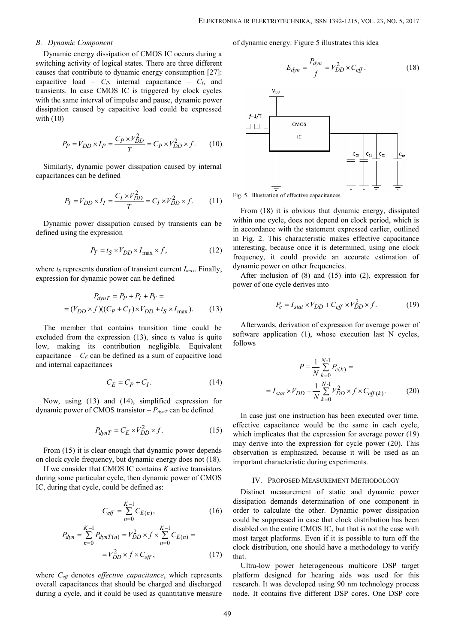## *B. Dynamic Component*

Dynamic energy dissipation of CMOS IC occurs during a switching activity of logical states. There are three different causes that contribute to dynamic energy consumption [27]: capacitive load –  $C_P$ , internal capacitance –  $C_I$ , and transients. In case CMOS IC is triggered by clock cycles with the same interval of impulse and pause, dynamic power dissipation caused by capacitive load could be expressed  $f=1/T$ with (10)

$$
P_P = V_{DD} \times I_P = \frac{C_P \times V_{DD}^2}{T} = C_P \times V_{DD}^2 \times f. \tag{10}
$$

Similarly, dynamic power dissipation caused by internal capacitances can be defined

$$
P_I = V_{DD} \times I_I = \frac{C_I \times V_{DD}^2}{T} = C_I \times V_{DD}^2 \times f.
$$
 (11) Fig. 5. Illustration of effective capacitances.

Dynamic power dissipation caused by transients can be defined using the expression

$$
P_T = t_S \times V_{DD} \times I_{\text{max}} \times f,\tag{12}
$$

where *t<sup>S</sup>* represents duration of transient current *Imax*. Finally, expression for dynamic power can be defined

$$
P_{dynT} = P_P + P_I + P_T =
$$
  
=  $(V_{DD} \times f)((C_P + C_I) \times V_{DD} + t_S \times I_{\text{max}}).$  (13)

The member that contains transition time could be excluded from the expression  $(13)$ , since  $t<sub>S</sub>$  value is quite low, making its contribution negligible. Equivalent capacitance –  $C_E$  can be defined as a sum of capacitive load and internal capacitances

$$
C_E = C_P + C_I. \tag{14}
$$

Now, using (13) and (14), simplified expression for dynamic power of CMOS transistor  $-P_{dynT}$  can be defined

$$
P_{dynT} = C_E \times V_{DD}^2 \times f.
$$
 (15)

From  $(15)$  it is clear enough that dynamic power depends on clock cycle frequency, but dynamic energy does not (18).

If we consider that CMOS IC contains *K* active transistors during some particular cycle, then dynamic power of CMOS IC, during that cycle, could be defined as:

$$
C_{\text{eff}} = \sum_{n=0}^{K-1} C_{E(n)},
$$
 (16) order  
could

$$
P_{dyn} = \sum_{n=0}^{K-1} P_{dynT(n)} = V_{DD}^2 \times f \times \sum_{n=0}^{K-1} C_{E(n)} = \begin{cases} \text{disabeled on the ent} \\ \text{most target platform} \\ \text{clock distribution,} \\ \text{that.} \end{cases}
$$

where *Ceff* denotes *effective capacitance*, which represents overall capacitances that should be charged and discharged during a cycle, and it could be used as quantitative measure of dynamic energy. Figure 5 illustrates this idea



= $V_{DD} \times I_P = \frac{C_P \times V_{DD}^2}{T} = C_P \times V_{DD}^2 \times f.$  (10)<br>
(a dynamic power dissipation caused by internal<br>  $= V_{DD} \times I_I = \frac{C_I \times V_{DD}^2}{T} = C_I \times V_{DD}^2 \times f.$  (11)<br>  $= V_{DD} \times I_I = \frac{C_I \times V_{DD}^2}{T} = C_I \times V_{DD}^2 \times f.$  (11)<br>  $= V_{DD} \times I_I = \frac{C_I \times V_{DD}$ *defined*<br> *defined*<br> *defined*<br> *defined*<br> *T*  $= C_I \times V_{DD}^2 \times f$ . (11) Fig. 5. Illustration of effective capacitances.<br>
From (18) it is obvious that dyna<br>
dissipation caused by transients can be within one cycle, does not dynamic power dissipation caused by internal<br>  $V_{DD} \times I_I = \frac{C_I \times V_{DD}^2}{T} = C_I \times V_{DD}^2 \times f.$  (11)<br>
Fig. 5. Illustration of effective capacitances.<br>
From (18) it is obvious that dynamic<br>
over dissipation caused by transients c  $V_{DD} \times I_P = \frac{C_P \times V_{DD}^2}{T} = C_P \times V_{DD}^2 \times f.$  (10)<br> *V* dynamic power dissipation caused by internal<br>  $= V_{DD} \times I_I = \frac{C_I \times V_{DD}^2}{T} = C_I \times V_{DD}^2 \times f.$  (11)<br>  $V_{DD} = V_{DD} \times I_I = \frac{C_I \times V_{DD}^2}{T} = C_I \times V_{DD}^2 \times f.$  (11)<br>  $V_{DD} = V_{DD} \times I_I = \frac{$  $\frac{C_f \times V_{DD}^2}{T} = C_f \times V_{DD}^2 \times f.$ (11) Fig. 5. Illustration of effective capacitances.<br>
Signation caused by transients can be<br>
within one cycle, does not depend on clock perio<br>
in accordance with the statement expressed e From (18) it is obvious that dynamic energy, dissipated within one cycle, does not depend on clock period, which is in accordance with the statement expressed earlier, outlined in Fig. 2. This characteristic makes effective capacitance interesting, because once it is determined, using one clock frequency, it could provide an accurate estimation of dynamic power on other frequencies. on clock period, which is<br>expressed earlier, outlined<br>these effective capacitance<br>termined, using one clock<br>a accurate estimation of<br>es.<br>(a) into (2), expression for<br> $f f x V_{DD}^2 \times f$ . (19)<br>ssion for average power of<br>executi That dynamic energy, dissipated<br>repend on clock period, which is<br>ment expressed earlier, outlined<br>ic makes effective capacitance<br>is determined, using one clock<br>the an accurate estimation of<br>uencies.<br>d (15) into (2), expre *c* conclude performation, which is<br>expressed earlier, outlined<br>akes effective capacitance<br>termined, using one clock<br>in accurate estimation of<br>iciss.<br>5) into (2), expression for<br> $c_{eff} \times V_{DD}^2 \times f$ . (19)<br>ession for average Five capacitances.<br>
Five capacitances.<br>
vious that dynamic energy, dissipated<br>
s not depend on clock period, which is<br>
e statement expressed earlier, outlined<br>
acteristic makes effective capacitance<br>
once it is determined it is obvious that dynamic energy, dissipated<br>ycle, does not depend on clock period, which is<br>this characteristic makes effective capacitance<br>because once it is determined, using one clock<br>t could provide an accurate esti ation of effective capacitances.<br>
8) it is obvious that dynamic energy, dissipated<br>
cycle, does not depend on clock period, which is<br>
nece with the statement expressed earlier, outlined<br>
This characteristic makes effectiv

After inclusion of  $(8)$  and  $(15)$  into  $(2)$ , expression for power of one cycle derives into

$$
P_c = I_{stat} \times V_{DD} + C_{eff} \times V_{DD}^2 \times f. \tag{19}
$$

Afterwards, derivation of expression for average power of software application (1), whose execution last N cycles, follows

This characteristic makes effective capacitance  
because once it is determined, using one clock  
it could provide an accurate estimation of  
wer on other frequencies.  
lusion of (8) and (15) into (2), expression for  
e cycle derives into  

$$
P_c = I_{stat} \times V_{DD} + C_{eff} \times V_{DD}^2 \times f
$$
. (19)  
ds, derivation of expression for average power of  
plication (1), whose execution last N cycles,  

$$
P = \frac{1}{N} \sum_{k=0}^{N-1} P_{c(k)} =
$$

$$
I_{stat} \times V_{DD} + \frac{1}{N} \sum_{k=0}^{N-1} V_{DD}^2 \times f \times C_{eff(k)}
$$
. (20)  
ust one instruction has been executed over time,  
spacitance would be the same in each cycle,  
categories that the expression for average power (19)

thession<br>  $P_f = \frac{F}{N} \sum_{D} V_{DD} \times I_{\text{max}} \times f$ ,<br>  $P_{DD} \times I_{\text{max}} \times f$ ,<br>  $P_{DD} \times I_{\text{max}} \times f$ ,<br>  $P_{P} = \frac{F}{N} \sum_{D} P_{Q} + P_{P} + P_{T} = \frac{F}{N} \sum_{D} P_{Q} + F_{Q} \sum_{D} P_{Q} + F_{Q} \sum_{D} P_{Q} + F_{Q} \sum_{D} P_{Q} + F_{Q} \sum_{D} P_{Q} + F_{Q} \sum_{D} P_{Q} \sum_{D} P_{Q}$ <br>  $P$ In case just one instruction has been executed over time, effective capacitance would be the same in each cycle, which implicates that the expression for average power (19) may derive into the expression for cycle power (20). This observation is emphasized, because it will be used as an important characteristic during experiments.

## IV. PROPOSED MEASUREMENT METHODOLOGY

 $P = \frac{1}{N} \sum_{k=0}^{N} P_{c(k)}$ <br>
mplified expression for<br>  $P = I_{stat} \times V_{DD} + \frac{1}{N} \sum_{k=0}^{N-1} V_{DD}^2$ <br>
mplified expression for<br>  $I_{D} \times f$ . (15) offective capacitance would be the which implicates that the expression for<br>
dynamic  $P = \frac{1}{N} \sum_{k=0}^{N-1} P_{\epsilon(l)}$ <br>
and (14), simplified expression for<br>  $T = C_E \times V_{DD}^2 \times f$ . (14)<br>  $= I_{stat} \times V_{DD} + \frac{1}{N} \sum_{k=0}^{N-1} V_{DD}^2$ <br>  $= I_{stat} \times V_{DD} + \frac{1}{N} \sum_{k=0}^{N-1} V_{DD}^2$ <br>
Stransistor  $-P_{dyn}r$  can be defined<br>
In case ju contains transition time could be<br>
software application (1), whose execution larger<br>
contribution negligible. Equivalent follows<br>
contribution negligible. Equivalent follows<br>
be defined as a sum of capacitive load<br>
ces<br>  $=\sum_{n=0}^{ } C_{E(n)}$ , (16) order to calculate the other. Dynamic power dissipation could be suppressed in case that clock distribution has been  $\sum_{i=1}^{-1}$   $K_i$   $\sum_{i=1}^{K-1}$  disabled on the entire CMOS IC, but that is not the case with  $= I_{stat} \times V_{DD} + \frac{1}{N} \sum_{k=0}^{N} V_{DD}^{k} \times C_{eff(k)}$ <br>  $= C_{E} \times V_{DD}^{2} + \frac{1}{N} \sum_{k=0}^{N} V_{DD}^{2} + \frac{1}{N} \sum_{k=0}^{N} V_{DD}^{2} \times C_{eff(k)}$ <br>
(15) and dynamic power depends<br>
the difference vould be the same in which implicates that the expre  $n=0$  does distribution, one should have a methodology to verify using (13) and (14), simplified expression for<br>  $= I_{stat} \times V_{DD} + \frac{V}{N} \sum_{k=0}^{L} V_{DD}^{2} \times f \times C_{eff}$ <br>
oower of CMOS transistor  $-P_{dyn}r$  can be defined<br>  $P_{dyn}r = C_{E} \times V_{DD}^{2} \times f$ . (15)<br>
and  $P_{dyn}r = C_{E} \times V_{DD}^{2} \times f$ . (15)<br>
(15) it of CMOS transistor  $-P_{dynT}$  can be defined<br>  $P_{dynT} = C_E \times V_{DD}^2 \times f$ . (15) with implicates that the expression fo<br>
is clear enough that dynamic power depends<br>
is  $\frac{P_{dynT}}{P} = C_E \times V_{DD}^2 \times f$ . (15) and gerive capacitance would 10 not determined as a sum of capacitive load<br>  $P = \frac{1}{N} \sum_{k=0}^{N-1} P_{\epsilon(k)} =$ <br>  $C_E = C_P + C_I$ . (14)<br>
using (13) and (14), simplified expression for<br>
power of CMOS transistor- $P_{\phi_0\pi}$  can be defined<br>  $P_{\phi_0\pi} = C_E \times V_{DD}^2 \$  $V_E = C_P + C_I$ . (14)<br>  $V_{A=0} = C_K + C_I$ . (14)<br>
and (14), simplified expression for<br>  $T = C_E \times V_{DD}^2 \times f$ . (15) effective capacitation has been executed<br>  $T = C_E \times V_{DD}^2 \times f$ . (15) effective capacitation has been executed<br>  $T = C_E \times V_{DD}^$ n as expression (15), since f<sub>8</sub> value is quite square the entropy of  $C_E = C_P + C_I$ .<br>
(14)<br>
(15) and (14), simplified expression for<br>  $C_E$  can be defined as a sum of capacitive lead<br>
(5) and (14), simplified expression for<br> For the valued as a sum of explorative lead<br>  $P = \frac{1}{N} \sum_{k=0}^{N-1} P_{\epsilon(k)} =$ <br>  $C_E = C_P + C_1$ . (14)<br>
(13) and (14), simplified expression for<br>
of CMOS transistor -  $P_{dynT}$  can be defined<br>  $P_{dynT} = C_E \times V_{DD}^2 \times f$ . (15)<br>
(15) enc (17) that. Distinct measurement of static and dynamic power dissipation demands determination of one component in could be suppressed in case that clock distribution has been most target platforms. Even if it is possible to turn off the

Ultra-low power heterogeneous multicore DSP target platform designed for hearing aids was used for this research. It was developed using 90 nm technology process node. It contains five different DSP cores. One DSP core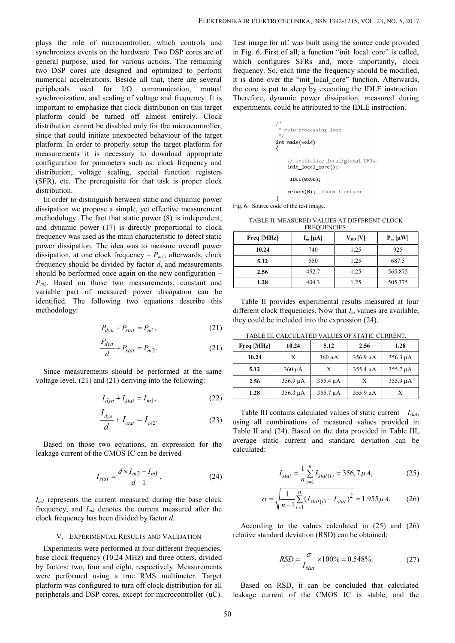plays the role of microcontroller, which controls and synchronizes events on the hardware. Two DSP cores are of general purpose, used for various actions. The remaining two DSP cores are designed and optimized to perform numerical accelerations. Beside all that, there are several peripherals used for I/O communication, mutual synchronization, and scaling of voltage and frequency. It is important to emphasize that clock distribution on this target platform could be turned off almost entirely. Clock distribution cannot be disabled only for the microcontroller, since that could initiate unexpected behaviour of the target platform. In order to properly setup the target platform for measurements it is necessary to download appropriate configuration for parameters such as: clock frequency and distribution, voltage scaling, special function registers (SFR), etc. The prerequisite for that task is proper clock distribution.

In order to distinguish between static and dynamic power dissipation we propose a simple, yet effective measurement methodology. The fact that static power (8) is independent, and dynamic power (17) is directly proportional to clock frequency was used as the main characteristic to detect static power dissipation. The idea was to measure overall power dissipation, at one clock frequency – *Pm1*; afterwards, clock frequency should be divided by factor *d*, and measurements should be performed once again on the new configuration – *Pm2*. Based on those two measurements, constant and variable part of measured power dissipation can be identified. The following two equations describe this methodology: ate unexpected behaviour of the target<br>
method appropriate<br>
necessary to download appropriate<br>
necessary to download appropriate<br>
emeters such as: clock frequency and<br>
equisite for that task is proper clock<br>
equisite for ple, yet effective measurement<br>
rig. 6. Source code of the test image.<br>
tatic power (8) is independent,<br>
directly proportional to clock<br>
in characteristic to detect static<br>
was to measure overall power<br>
by factor d, and m S such as: COCK IPQUENCE and dynamic power<br> *P* such as coled function registers<br> *P* p special function registers<br> *P* and dynamic power (8)  $\frac{P}{d}$  and the same of the extinge.<br> *P P P P P P P P P P* essary to download appropriate<br>
ling, special function registers<br>
side frequency and<br>
ling, special function registers<br>
site for that task is proper clock<br>
<br>
between static and dynamic power<br>
simple, yet effective measure Is the team of the state and the state and the state of the test image.<br>
It is described by proportional to clock<br>
It at static power (8) is independent,<br>
TABLE II. MEASURED VALUES AT DIFFERENT CITS<br>
It is directly propor *I I* SINC NO time last is proper uncertainting the present and phymeric performed at the similar power (8) is directly proportional to clock<br>
similarly by independent, <br>
as incit power (8) is independent, the set in the set in

$$
P_{dyn} + P_{stat} = P_{m1},\tag{21}
$$

$$
\frac{P_{dyn}}{d} + P_{stat} = P_{m2}.
$$
 (21)  $\boxed{\text{Free}}$ 

Since measurements should be performed at the same voltage level, (21) and (21) deriving into the following:

$$
I_{dyn} + I_{stat} = I_{m1},\tag{22}
$$

$$
\frac{I_{dyn}}{d} + I_{stat} = I_{m2}.
$$
   
 (23)   
 using  
 Table

Based on those two equations, an expression for the leakage current of the CMOS IC can be derived

$$
I_{stat} = \frac{d \times I_{m2} - I_{m1}}{d - 1},\tag{24}
$$

 $I<sub>m1</sub>$  represents the current measured during the base clock frequency, and *Im2* denotes the current measured after the clock frequency has been divided by factor *d.*

#### V. EXPERIMENTAL RESULTS AND VALIDATION

Experiments were performed at four different frequencies, base clock frequency (10.24 MHz) and three others, divided by factors: two, four and eight, respectively. Measurements were performed using a true RMS multimeter. Target platform was configured to turn off clock distribution for all peripherals and DSP cores, except for microcontroller (uC).

Test image for uC was built using the source code provided in Fig. 6. First of all, a function "init\_local\_core" is called, which configures SFRs and, more importantly, clock frequency. So, each time the frequency should be modified, it is done over the "init local core" function. Afterwards, the core is put to sleep by executing the IDLE instruction. Therefore, dynamic power dissipation, measured during experiments, could be attributed to the IDLE instruction.

Fig. 6. Source code of the test image.

TABLE II. MEASURED VALUES AT DIFFERENT CLOCK FREQUENCIES.

| Freq [MHz] | $I_m$ [µA] | $V_{DD}$ [V] | $P_m$ [ $\mu$ W] |
|------------|------------|--------------|------------------|
| 10.24      | 740        | 1.25         | 925              |
| 5.12       | 550        | 1.25         | 687.5            |
| 2.56       | 452.7      | 1.25         | 565.875          |
| 1.28       | 404.3      | 1.25         | 505.375          |

TABLE III. CALCULATED VALUES OF STATIC CURRENT.

| $\alpha$ again on the new configuration $-$     |                                                                   |               |                                                                    |                                                                                          |               |
|-------------------------------------------------|-------------------------------------------------------------------|---------------|--------------------------------------------------------------------|------------------------------------------------------------------------------------------|---------------|
| o measurements, constant and                    | 1.28                                                              |               | 404.3                                                              | 1.25                                                                                     | 505.375       |
| ed power dissipation can be                     |                                                                   |               |                                                                    |                                                                                          |               |
| g two equations describe this                   |                                                                   |               |                                                                    | Table II provides experimental results measured at four                                  |               |
|                                                 | different clock frequencies. Now that $I_m$ values are available, |               |                                                                    |                                                                                          |               |
|                                                 | they could be included into the expression (24).                  |               |                                                                    |                                                                                          |               |
| $-P_{stat}=P_{m1},$<br>(21)                     |                                                                   |               |                                                                    |                                                                                          |               |
|                                                 |                                                                   |               |                                                                    | TABLE III. CALCULATED VALUES OF STATIC CURRENT.                                          |               |
| (21)<br>$+P_{stat} = P_{m2}$ .                  | Freq [MHz]                                                        | 10.24         | 5.12                                                               | 2.56                                                                                     | 1.28          |
|                                                 | 10.24                                                             | X             | $360 \mu A$                                                        | $356.9 \mu A$                                                                            | $356.3 \mu A$ |
| ould be performed at the same                   | 5.12                                                              | $360 \mu A$   | X                                                                  | 355.4 µA                                                                                 | $355.7 \mu A$ |
| deriving into the following:                    | 2.56                                                              | $356.9 \mu A$ | 355.4 µA                                                           | X                                                                                        | $355.9 \mu A$ |
|                                                 | 1.28                                                              | $356.3 \mu A$ | 355.7 µA                                                           | $355.9 \mu A$                                                                            | X             |
| (22)<br>$+I_{stat} = I_{m1},$                   |                                                                   |               |                                                                    |                                                                                          |               |
|                                                 |                                                                   |               |                                                                    | Table III contains calculated values of static current $-I_{stat}$ ,                     |               |
| $-I_{stat} = I_{m2}.$<br>(23)                   | using all combinations of measured values provided in             |               |                                                                    |                                                                                          |               |
|                                                 | Table II and (24). Based on the data provided in Table III,       |               |                                                                    |                                                                                          |               |
|                                                 | average static current and standard deviation can be              |               |                                                                    |                                                                                          |               |
| quations, an expression for the                 | calculated:                                                       |               |                                                                    |                                                                                          |               |
| OS IC can be derived                            |                                                                   |               |                                                                    |                                                                                          |               |
|                                                 |                                                                   |               |                                                                    |                                                                                          |               |
| $\frac{d \times I_{m2} - I_{m1}}{d-1},$<br>(24) |                                                                   |               | $I_{stat} = \frac{1}{n} \sum_{i=1}^{n} I_{stat(i)} = 356,7 \mu A,$ |                                                                                          | (25)          |
|                                                 |                                                                   |               |                                                                    |                                                                                          |               |
| measured during the base clock                  |                                                                   |               |                                                                    |                                                                                          | (26)          |
| s the current measured after the                |                                                                   |               |                                                                    | $\sigma = \sqrt{\frac{1}{n-1} \sum_{i=1}^{n} (I_{stat(i)} - I_{stat})^2} = 1.955 \mu A.$ |               |
| ivided by factor d.                             |                                                                   |               |                                                                    |                                                                                          |               |
|                                                 |                                                                   |               |                                                                    | According to the values calculated in $(25)$ and $(26)$                                  |               |
| <b>RESULTS AND VALIDATION</b>                   | relative standard deviation (RSD) can be obtained:                |               |                                                                    |                                                                                          |               |
| med at four different frequencies,              |                                                                   |               |                                                                    |                                                                                          |               |
| A MIL and three others divided                  |                                                                   |               | $\overline{a}$                                                     |                                                                                          |               |

Table III contains calculated values of static current  $-I_{stat}$ , using all combinations of measured values provided in Table II and (24). Based on the data provided in Table III, average static current and standard deviation can be calculated:  $\frac{55.4 \mu A}{35.7 \mu A}$   $\frac{X}{355.9 \mu A}$   $\frac{355.9 \mu A}{X}$ <br>
ed values of static current  $-I_{stat}$ ,<br>
measured values provided in<br>
the data provided in Table III,<br>
1 standard deviation can be<br>  $\frac{t_{at}(i) = 356,7 \mu A}{(i) = -1.955 \mu A}$  $\frac{\mu A}{\mu A}$   $\frac{X}{355.4 \mu A}$   $\frac{355.4 \mu A}{X}$   $\frac{355.9 \mu A}{355.9 \mu A}$ <br>  $\frac{\mu A}{X}$   $\frac{355.9 \mu A}{X}$ <br>
calculated values of static current  $-I_{stat}$ ,<br>
cines of measured values provided in<br>
dased on the data provided in Table I

$$
I_{stat} = \frac{1}{n} \sum_{i=1}^{n} I_{stat(i)} = 356, 7 \,\mu A,\tag{25}
$$

$$
\sigma = \sqrt{\frac{1}{n-1} \sum_{i=1}^{n} (I_{stat(i)} - I_{stat})^2} = 1.955 \,\mu A. \tag{26}
$$

$$
RSD = \frac{\sigma}{I_{stat}} \times 100\% = 0.548\%.
$$
 (27)

Based on RSD, it can be concluded that calculated leakage current of the CMOS IC is stable, and the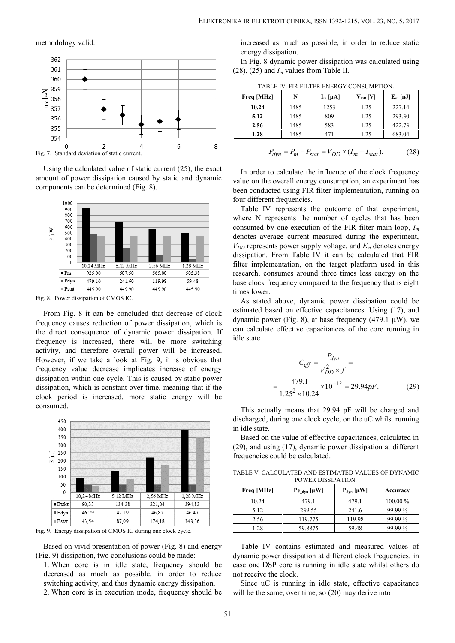### methodology valid.



Using the calculated value of static current (25), the exact amount of power dissipation caused by static and dynamic components can be determined (Fig. 8).



Fig. 8. Power dissipation of CMOS IC.

From Fig. 8 it can be concluded that decrease of clock frequency causes reduction of power dissipation, which is the direct consequence of dynamic power dissipation. If frequency is increased, there will be more switching activity, and therefore overall power will be increased. However, if we take a look at Fig. 9, it is obvious that frequency value decrease implicates increase of energy dissipation within one cycle. This is caused by static power dissipation, which is constant over time, meaning that if the clock period is increased, more static energy will be consumed.



Fig. 9. Energy dissipation of CMOS IC during one clock cycle.

Based on vivid presentation of power (Fig. 8) and energy (Fig. 9) dissipation, two conclusions could be made:

1. When core is in idle state, frequency should be decreased as much as possible, in order to reduce switching activity, and thus dynamic energy dissipation.

2. When core is in execution mode, frequency should be

| IKA IR ELEKTROTECHNIKA, ISSN 1392-1215, VOL. 23, NO. 5, 2017<br>increased as much as possible, in order to reduce static<br>energy dissipation. |      |                                                              |              |                                                                    |
|-------------------------------------------------------------------------------------------------------------------------------------------------|------|--------------------------------------------------------------|--------------|--------------------------------------------------------------------|
| In Fig. 8 dynamic power dissipation was calculated using<br>$(28)$ , $(25)$ and $I_m$ values from Table II.                                     |      |                                                              |              |                                                                    |
|                                                                                                                                                 |      | TABLE IV. FIR FILTER ENERGY CONSUMPTION.                     |              |                                                                    |
| Freq [MHz]                                                                                                                                      | N    | $I_m [\mu A]$                                                | $V_{DD}$ [V] | $E_m$ [nJ]                                                         |
| 10.24                                                                                                                                           | 1485 | 1253                                                         | 1.25         | 227.14                                                             |
| 5.12                                                                                                                                            | 1485 | 809                                                          | 1.25         | 293.30                                                             |
| 2.56                                                                                                                                            | 1485 | 583                                                          | 1.25         | 422.73                                                             |
| 1.28                                                                                                                                            | 1485 | 471                                                          | 1.25         | 683.04                                                             |
|                                                                                                                                                 |      | $P_{dyn} = P_m - P_{stat} = V_{DD} \times (I_m - I_{stat}).$ |              | (28)<br>In order to calculate the influence of the clock frequency |

TABLE IV. FIR FILTER ENERGY CONSUMPTION.

$$
P_{dyn} = P_m - P_{stat} = V_{DD} \times (I_m - I_{stat}).
$$
 (28)

Table IV represents the outcome of that experiment, where N represents the number of cycles that has been consumed by one execution of the FIR filter main loop, *I<sup>m</sup>* denotes average current measured during the experiment,  $V_{DD}$  represents power supply voltage, and  $E_m$  denotes energy dissipation. From Table IV it can be calculated that FIR filter implementation, on the target platform used in this research, consumes around three times less energy on the base clock frequency compared to the frequency that is eight times lower. encies.<br>
Seents the outcome of that experiment,<br>
seents the number of cycles that has been<br>
xecution of the FIR filter main loop,  $I_m$ <br>
urrent measured during the experiment,<br>
er supply voltage, and  $E_m$  denotes energy<br>
T epresents the outcome of that experiment,<br>espensents the number of cycles that has been<br>one execution of the FIR filter main loop,  $I_m$ <br>ee current measured during the experiment,<br>power supply voltage, and  $E_m$  denotes ene ilter implementation, running on<br>outcome of that experiment,<br>umber of cycles that has been<br>of the FIR filter main loop,  $I_m$ <br>easured during the experiment,<br>voltage, and  $E_m$  denotes energy<br>it can be calculated that FIR<br>he *p*: influence of the clock frequency<br>y consumption, an experiment has<br>filter implementation, running on<br>the outcome of that experiment,<br>number of cycles that has been<br>on of the FIR filter main loop,  $I_m$ <br>measured during ed using FIR filter implementation, running on<br>frequencies.<br>represents the outcome of that experiment,<br>revesents the number of cycles that has been<br>versents the number of cycles that has been<br>versents the number of cycles

As stated above, dynamic power dissipation could be estimated based on effective capacitances. Using (17), and dynamic power (Fig. 8), at base frequency (479.1  $\mu$ W), we can calculate effective capacitances of the core running in idle state

$$
C_{eff} = \frac{P_{dyn}}{V_{DD}^2 \times f} =
$$
  
=  $\frac{479.1}{1.25^2 \times 10.24} \times 10^{-12} = 29.94pF.$  (29)  
This actually means that 29.94 pF will be charged and

discharged, during one clock cycle, on the uC whilst running in idle state.

Based on the value of effective capacitances, calculated in (29), and using (17), dynamic power dissipation at different frequencies could be calculated.

TABLE V. CALCULATED AND ESTIMATED VALUES OF DYNAMIC POWER DISSIPATION.

| Freq [MHz] | Pe $_{\text{dyn}}$ [µW] | $P_{dyn}$ [ $\mu$ W] | Accuracy   |
|------------|-------------------------|----------------------|------------|
| 10.24      | 479.1                   | 479.1                | $100.00\%$ |
| 5.12       | 239.55                  | 241.6                | 99.99 %    |
| 2.56       | 119.775                 | 119.98               | 99.99 %    |
| 1.28       | 59.8875                 | 59.48                | 99.99 %    |

Table IV contains estimated and measured values of dynamic power dissipation at different clock frequencies, in case one DSP core is running in idle state whilst others do not receive the clock.

Since uC is running in idle state, effective capacitance will be the same, over time, so  $(20)$  may derive into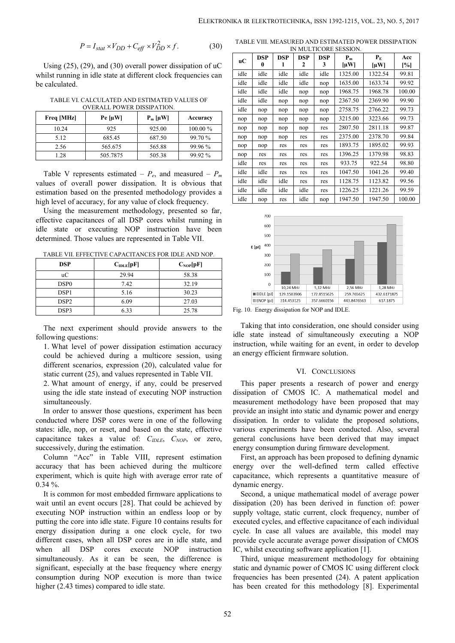$$
P = I_{stat} \times V_{DD} + C_{eff} \times V_{DD}^2 \times f.
$$
 (30)

Using (25), (29), and (30) overall power dissipation of uC whilst running in idle state at different clock frequencies can be calculated.

TABLE VI. CALCULATED AND ESTIMATED VALUES OF OVERALL POWER DISSIPATION.

| n   |            |                  |            |            |
|-----|------------|------------------|------------|------------|
| nop | Accuracy   | $P_m$ [ $\mu$ W] | $Pe \mu W$ | Freq [MHz] |
| nop | $100.00\%$ | 925.00           | 925        | 10.24      |
| nop | 99.70 %    | 687.50           | 685.45     | 5.12       |
| nop | 99.96 %    | 565.88           | 565.675    | 2.56       |
| nop | 99.92 %    | 505.38           | 505.7875   | 1.28       |
|     |            |                  |            |            |

Table V represents estimated –  $P_e$ , and measured –  $P_m$ values of overall power dissipation. It is obvious that estimation based on the presented methodology provides a high level of accuracy, for any value of clock frequency.

Using the measurement methodology, presented so far, effective capacitances of all DSP cores whilst running in idle state or executing NOP instruction have been determined. Those values are represented in Table VII.

TABLE VII. EFFECTIVE CAPACITANCES FOR IDLE AND NOP.

| <b>DSP</b>       | C <sub>IDLE</sub> [pF] | $C_{\text{NOP}}[pF]$ |
|------------------|------------------------|----------------------|
| uC               | 29.94                  | 58.38                |
| DSP <sub>0</sub> | 7.42                   | 32.19                |
| DSP <sub>1</sub> | 5.16                   | 30.23                |
| DSP <sub>2</sub> | 6.09                   | 27.03                |
| DSP3             | 6.33                   | 25.78                |

The next experiment should provide answers to the following questions:

1. What level of power dissipation estimation accuracy could be achieved during a multicore session, using different scenarios, expression (20), calculated value for static current (25), and values represented in Table VII.

2. What amount of energy, if any, could be preserved using the idle state instead of executing NOP instruction simultaneously.

In order to answer those questions, experiment has been conducted where DSP cores were in one of the following states: idle, nop, or reset, and based on the state, effective capacitance takes a value of: *CIDLE*, *CNOP*, or zero, successively, during the estimation.

Column "Acc" in Table VIII, represent estimation accuracy that has been achieved during the multicore experiment, which is quite high with average error rate of 0.34 %.

It is common for most embedded firmware applications to wait until an event occurs [28]. That could be achieved by executing NOP instruction within an endless loop or by putting the core into idle state. Figure 10 contains results for energy dissipation during a one clock cycle, for two different cases, when all DSP cores are in idle state, and when all DSP cores execute NOP instruction simultaneously. As it can be seen, the difference is significant, especially at the base frequency where energy consumption during NOP execution is more than twice higher (2.43 times) compared to idle state.

 $2 \times f$  (20) TABLE VIII. MEASURED AND ESTIMATED POWER DISSIPATION IN MULTICORE SESSION.

|                 | $P = I_{stat} \times V_{DD} + C_{eff} \times V_{DD}^2 \times f.$                          | (30)     |              |                 |                 |                 |                 | IN MULTICORE SESSION. | TABLE VIII. MEASURED AND ESTIMATED POWER DISSIPATION |                |
|-----------------|-------------------------------------------------------------------------------------------|----------|--------------|-----------------|-----------------|-----------------|-----------------|-----------------------|------------------------------------------------------|----------------|
|                 |                                                                                           |          | uС           | <b>DSP</b><br>0 | <b>DSP</b><br>1 | <b>DSP</b><br>2 | <b>DSP</b><br>3 | $P_m$                 | $P_{E}$                                              | Acc            |
|                 | $(29)$ , and $(30)$ overall power dissipation of uC                                       |          |              | idle            | idle            |                 |                 | $\mu$ W]              | $[\mu W]$                                            | [%]            |
|                 | in idle state at different clock frequencies can                                          |          | idle<br>idle | idle            | idle            | idle<br>idle    | idle            | 1325.00<br>1635.00    | 1322.54<br>1633.74                                   | 99.81<br>99.92 |
|                 |                                                                                           |          | idle         | idle            | idle            | nop             | nop             | 1968.75               | 1968.78                                              | 100.00         |
|                 |                                                                                           |          |              |                 |                 |                 | nop             |                       |                                                      |                |
|                 |                                                                                           |          |              |                 |                 |                 |                 |                       |                                                      |                |
|                 | CALCULATED AND ESTIMATED VALUES OF<br>OVERALL POWER DISSIPATION.                          |          | idle         | idle            | nop             | nop             | nop             | 2367.50               | 2369.90                                              | 99.90          |
|                 |                                                                                           | Accuracy | idle         | nop             | nop             | nop             | nop             | 2758.75               | 2766.22                                              | 99.73          |
| $Pe$ [ $\mu$ W] | $P_m [\mu W]$                                                                             |          | nop          | nop             | nop             | nop             | nop             | 3215.00               | 3223.66                                              | 99.73          |
| 925             | 925.00                                                                                    | 100.00%  | nop          | nop             | nop             | nop<br>res      | res<br>res      | 2807.50<br>2375.00    | 2811.18                                              | 99.87<br>99.84 |
| 685.45          | 687.50                                                                                    | 99.70%   | nop          | nop             | nop<br>res      | res             | res             | 1893.75               | 2378.70<br>1895.02                                   | 99.93          |
| 565.675         | 565.88                                                                                    | 99.96 %  | nop<br>nop   | nop<br>res      | res             | res             | res             | 1396.25               | 1379.98                                              | 98.83          |
| 505.7875        | 505.38                                                                                    | 99.92 %  | idle         | res             | res             | res             | res             | 933.75                | 922.54                                               | 98.80          |
|                 |                                                                                           |          | idle         | idle            | res             | res             | res             | 1047.50               | 1041.26                                              | 99.40          |
|                 | presents estimated – $P_e$ , and measured – $P_m$                                         |          | idle         | idle            | idle            | res             | res             | 1128.75               | 1123.82                                              | 99.56          |
|                 | erall power dissipation. It is obvious that<br>ed on the presented methodology provides a |          | idle         | idle            | idle            | idle            | res             | 1226.25               | 1221.26                                              | 99.59          |



Fig. 10. Energy dissipation for NOP and IDLE.

Taking that into consideration, one should consider using idle state instead of simultaneously executing a NOP instruction, while waiting for an event, in order to develop an energy efficient firmware solution.

### VI. CONCLUSIONS

This paper presents a research of power and energy dissipation of CMOS IC. A mathematical model and measurement methodology have been proposed that may provide an insight into static and dynamic power and energy dissipation. In order to validate the proposed solutions, various experiments have been conducted. Also, several general conclusions have been derived that may impact energy consumption during firmware development.

First, an approach has been proposed to defining dynamic energy over the well-defined term called effective capacitance, which represents a quantitative measure of dynamic energy.

Second, a unique mathematical model of average power dissipation (20) has been derived in function of: power supply voltage, static current, clock frequency, number of executed cycles, and effective capacitance of each individual cycle. In case all values are available, this model may provide cycle accurate average power dissipation of CMOS IC, whilst executing software application [1].

Third, unique measurement methodology for obtaining static and dynamic power of CMOS IC using different clock frequencies has been presented (24). A patent application has been created for this methodology [8]. Experimental